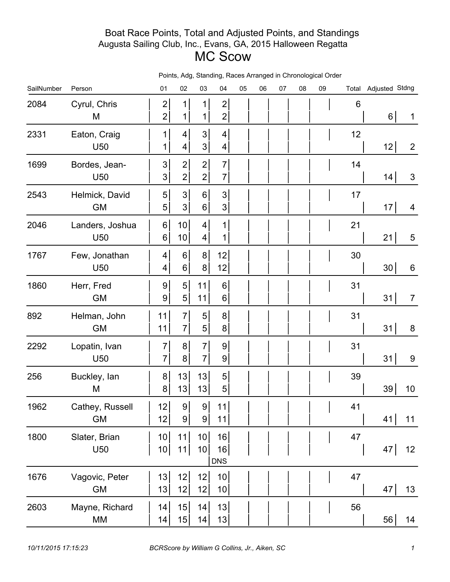## Boat Race Points, Total and Adjusted Points, and Standings Augusta Sailing Club, Inc., Evans, GA, 2015 Halloween Regatta MC Scow

| SailNumber | Person                             | 01                               | 02                                 | o.unung,<br>03                   | 04                                 | wood , mango<br>05 | 06 | 07 | u in Univiiviy<br>08 | 09 |    | Total Adjusted Stdng |                |
|------------|------------------------------------|----------------------------------|------------------------------------|----------------------------------|------------------------------------|--------------------|----|----|----------------------|----|----|----------------------|----------------|
| 2084       | Cyrul, Chris<br>M                  | $\overline{c}$<br>$\mathbf{2}$   | $\mathbf 1$<br>$\mathbf{1}$        | 1<br>1                           | $\mathbf{2}$<br>$\mathbf{2}$       |                    |    |    |                      |    | 6  | 6 <sup>1</sup>       | $\mathbf 1$    |
| 2331       | Eaton, Craig<br>U <sub>50</sub>    | 1<br>1                           | 4<br>4                             | 3 <sup>1</sup><br>3 <sup>1</sup> | $\vert 4 \vert$<br>$\vert 4 \vert$ |                    |    |    |                      |    | 12 | 12                   | $\overline{2}$ |
| 1699       | Bordes, Jean-<br>U <sub>50</sub>   | 3 <sup>1</sup><br>3 <sup>1</sup> | $\mathbf{2}$<br>$\mathbf{2}$       | $\mathbf{2}$<br>$\mathbf{2}$     | $\overline{7}$<br>$\overline{7}$   |                    |    |    |                      |    | 14 | 14                   | $\mathsf 3$    |
| 2543       | Helmick, David<br><b>GM</b>        | 5 <sup>1</sup><br>5 <sup>1</sup> | 3<br>3 <sup>1</sup>                | $6 \mid$<br>$6\vert$             | 3 <sup>1</sup><br>3 <sup>1</sup>   |                    |    |    |                      |    | 17 | 17                   | 4              |
| 2046       | Landers, Joshua<br>U <sub>50</sub> | $6 \mid$<br>$6\vert$             | 10 <sup>1</sup><br>10 <sup>1</sup> | 4<br>$\vert 4 \vert$             | 1<br>1                             |                    |    |    |                      |    | 21 | 21                   | $\sqrt{5}$     |
| 1767       | Few, Jonathan<br>U <sub>50</sub>   | 4<br>4                           | 6<br>$6\vert$                      | 8 <sup>1</sup><br>8 <sup>1</sup> | 12<br>12                           |                    |    |    |                      |    | 30 | 30                   | $\,6$          |
| 1860       | Herr, Fred<br><b>GM</b>            | 9 <br>$\overline{9}$             | 5 <sup>1</sup><br>5 <sup>1</sup>   | 11<br>11                         | 6 <sup>1</sup><br>$6\vert$         |                    |    |    |                      |    | 31 | 31                   | $\overline{7}$ |
| 892        | Helman, John<br><b>GM</b>          | 11<br>11                         | $\overline{7}$<br>$\overline{7}$   | 5 <sup>1</sup><br>5 <sup>1</sup> | 8 <sup>1</sup><br>8 <sup>1</sup>   |                    |    |    |                      |    | 31 | 31                   | $\bf 8$        |
| 2292       | Lopatin, Ivan<br>U <sub>50</sub>   | 7<br>$\overline{7}$              | 8 <sup>1</sup><br>8                | $\overline{7}$<br>$7\vert$       | $\overline{9}$<br> 9               |                    |    |    |                      |    | 31 | 31                   | 9              |
| 256        | Buckley, lan<br>M                  | 8 <sup>1</sup><br>8 <sup>1</sup> | 13<br>13                           | 13<br>13                         | 5 <sup>1</sup><br>$\sqrt{5}$       |                    |    |    |                      |    | 39 | 39                   | 10             |
| 1962       | Cathey, Russell<br><b>GM</b>       | 12<br> 12                        | 9<br>$\overline{9}$                | 9<br>9 <sup>1</sup>              | 11<br>11                           |                    |    |    |                      |    | 41 | 41                   | 11             |
| 1800       | Slater, Brian<br>U50               | 10 <sub>l</sub><br>10            | 11<br>11                           | 10<br>10 <sup>1</sup>            | 16<br>16<br><b>DNS</b>             |                    |    |    |                      |    | 47 | 47                   | 12             |
| 1676       | Vagovic, Peter<br><b>GM</b>        | 13<br>13                         | 12<br>12                           | 12<br>12                         | 10<br>10                           |                    |    |    |                      |    | 47 | 47                   | 13             |
| 2603       | Mayne, Richard<br>MM               | 14<br>14                         | 15<br>15                           | 14<br>14                         | 13<br>13                           |                    |    |    |                      |    | 56 | 56                   | 14             |

Points, Adg, Standing, Races Arranged in Chronological Order